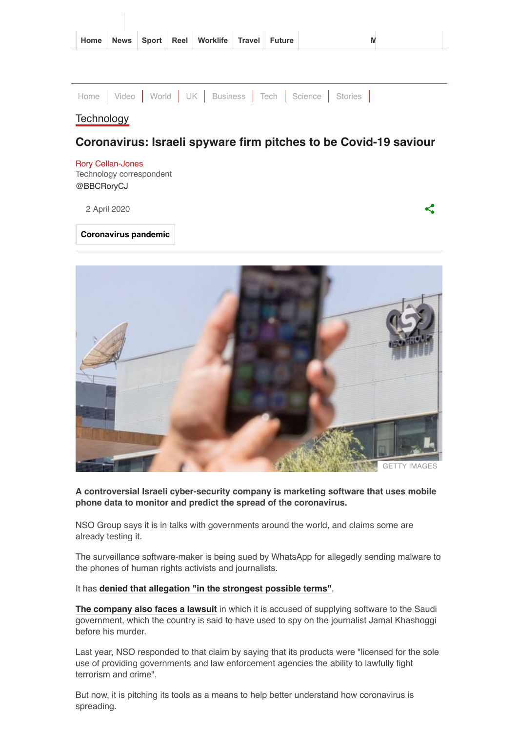|  |  | Home News Sport Reel Worklife Travel Future |  |  |
|--|--|---------------------------------------------|--|--|

| Home Video World UK Business Tech Science Stories |  |  |  |  |
|---------------------------------------------------|--|--|--|--|

### **[Technology](https://www.bbc.com/news/technology)**

## **Coronavirus: Israeli spyware firm pitches to be Covid-19 saviour**

[Rory Cellan-Jones](https://www.bbc.com/news/correspondents/rorycellanjones) Technology correspondent [@BBCRoryCJ](https://www.twitter.com/BBCRoryCJ)

2 April 2020

ぐ

#### **[Coronavirus pandemic](https://www.bbc.com/news/topics/cyz0z8w0ydwt/coronavirus-pandemic)**



**A controversial Israeli cyber-security company is marketing software that uses mobile phone data to monitor and predict the spread of the coronavirus.**

NSO Group says it is in talks with governments around the world, and claims some are already testing it.

The surveillance software-maker is being sued by WhatsApp for allegedly sending malware to the phones of human rights activists and journalists.

#### It has **[denied that allegation "in the strongest possible terms"](https://www.reuters.com/article/us-facebook-cyber-whatsapp-nsogroup/whatsapp-sues-israels-nso-for-allegedly-helping-spies-hack-phones-around-the-world-idUSKBN1X82BE)**.

**[The company also faces a lawsuit](https://www.nytimes.com/2018/12/02/world/middleeast/saudi-khashoggi-spyware-israel.html)** in which it is accused of supplying software to the Saudi government, which the country is said to have used to spy on the journalist Jamal Khashoggi before his murder.

Last year, NSO responded to that claim by saying that its products were "licensed for the sole use of providing governments and law enforcement agencies the ability to lawfully fight terrorism and crime".

But now, it is pitching its tools as a means to help better understand how coronavirus is spreading.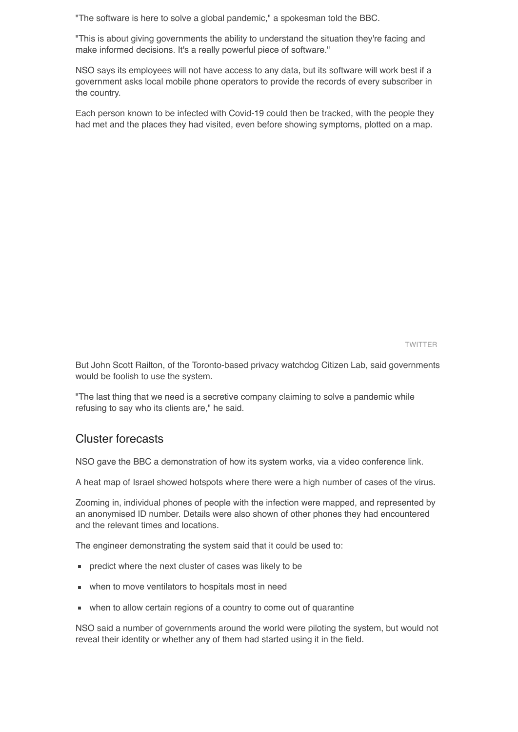"The software is here to solve a global pandemic," a spokesman told the BBC.

"This is about giving governments the ability to understand the situation they're facing and make informed decisions. It's a really powerful piece of software."

NSO says its employees will not have access to any data, but its software will work best if a government asks local mobile phone operators to provide the records of every subscriber in the country.

Each person known to be infected with Covid-19 could then be tracked, with the people they had met and the places they had visited, even before showing symptoms, plotted on a map.

TWITTER

But John Scott Railton, of the Toronto-based privacy watchdog Citizen Lab, said governments would be foolish to use the system.

"The last thing that we need is a secretive company claiming to solve a pandemic while refusing to say who its clients are," he said.

## Cluster forecasts

NSO gave the BBC a demonstration of how its system works, via a video conference link.

A heat map of Israel showed hotspots where there were a high number of cases of the virus.

Zooming in, individual phones of people with the infection were mapped, and represented by an anonymised ID number. Details were also shown of other phones they had encountered and the relevant times and locations.

The engineer demonstrating the system said that it could be used to:

- **PEDEPTER 19 IN 2015 The FIRTH CONCERT** predict where the next cluster of cases was likely to be
- when to move ventilators to hospitals most in need
- when to allow certain regions of a country to come out of quarantine

NSO said a number of governments around the world were piloting the system, but would not reveal their identity or whether any of them had started using it in the field.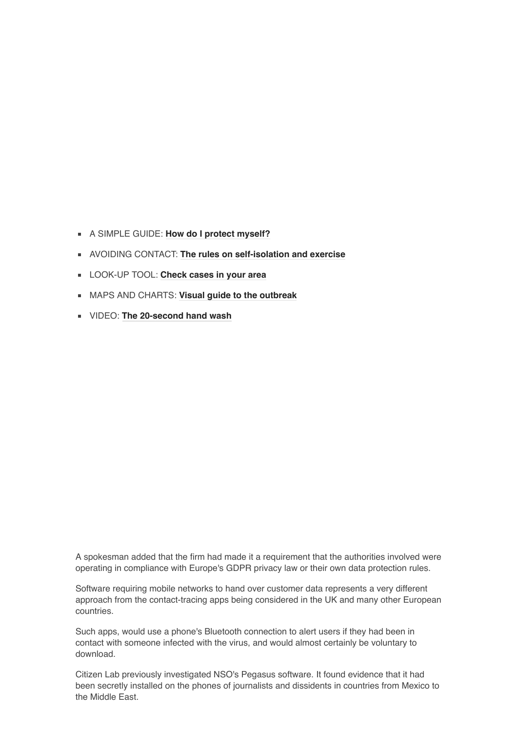- A SIMPLE GUIDE: **[How do I protect myself?](https://www.bbc.co.uk/news/health-51048366)**
- AVOIDING CONTACT: **[The rules on self-isolation and exercise](https://www.bbc.co.uk/news/uk-51506729)**
- LOOK-UP TOOL: **[Check cases in your area](https://www.bbc.co.uk/news/uk-51768274)**
- MAPS AND CHARTS: **[Visual guide to the outbreak](https://www.bbc.co.uk/news/world-51235105)**
- VIDEO: **[The 20-second hand wash](https://www.bbc.co.uk/news/av/health-51637561/coronavirus-watch-how-germs-spread)**

A spokesman added that the firm had made it a requirement that the authorities involved were operating in compliance with Europe's GDPR privacy law or their own data protection rules.

Software requiring mobile networks to hand over customer data represents a very different approach from the contact-tracing apps being considered in the UK and many other European countries.

Such apps, would use a phone's Bluetooth connection to alert users if they had been in contact with someone infected with the virus, and would almost certainly be voluntary to download.

Citizen Lab previously investigated NSO's Pegasus software. It found evidence that it had been secretly installed on the phones of journalists and dissidents in countries from Mexico to the Middle East.